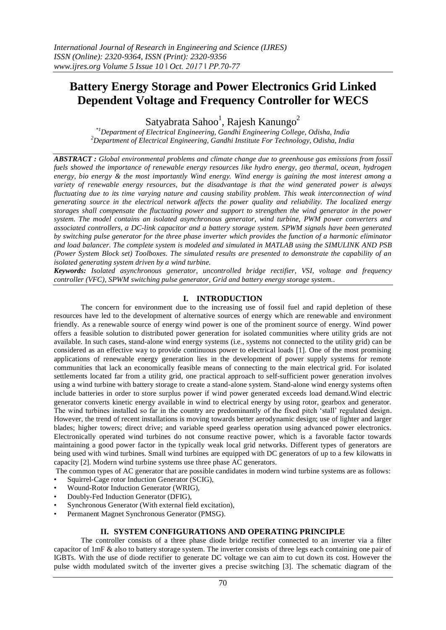# **Battery Energy Storage and Power Electronics Grid Linked Dependent Voltage and Frequency Controller for WECS**

Satyabrata Sahoo<sup>1</sup>, Rajesh Kanungo<sup>2</sup>

*\*1Department of Electrical Engineering, Gandhi Engineering College, Odisha, India <sup>2</sup>Department of Electrical Engineering, Gandhi Institute For Technology, Odisha, India*

*ABSTRACT : Global environmental problems and climate change due to greenhouse gas emissions from fossil fuels showed the importance of renewable energy resources like hydro energy, geo thermal, ocean, hydrogen energy, bio energy & the most importantly Wind energy. Wind energy is gaining the most interest among a variety of renewable energy resources, but the disadvantage is that the wind generated power is always fluctuating due to its time varying nature and causing stability problem. This weak interconnection of wind generating source in the electrical network affects the power quality and reliability. The localized energy storages shall compensate the fluctuating power and support to strengthen the wind generator in the power system. The model contains an isolated asynchronous generator, wind turbine, PWM power converters and associated controllers, a DC-link capacitor and a battery storage system. SPWM signals have been generated by switching pulse generator for the three phase inverter which provides the function of a harmonic eliminator and load balancer. The complete system is modeled and simulated in MATLAB using the SIMULINK AND PSB (Power System Block set) Toolboxes. The simulated results are presented to demonstrate the capability of an isolated generating system driven by a wind turbine.*

*Keywords: Isolated asynchronous generator, uncontrolled bridge rectifier, VSI, voltage and frequency controller (VFC), SPWM switching pulse generator, Grid and battery energy storage system..*

## **I. INTRODUCTION**

The concern for environment due to the increasing use of fossil fuel and rapid depletion of these resources have led to the development of alternative sources of energy which are renewable and environment friendly. As a renewable source of energy wind power is one of the prominent source of energy. Wind power offers a feasible solution to distributed power generation for isolated communities where utility grids are not available. In such cases, stand-alone wind energy systems (i.e., systems not connected to the utility grid) can be considered as an effective way to provide continuous power to electrical loads [1]. One of the most promising applications of renewable energy generation lies in the development of power supply systems for remote communities that lack an economically feasible means of connecting to the main electrical grid. For isolated settlements located far from a utility grid, one practical approach to self-sufficient power generation involves using a wind turbine with battery storage to create a stand-alone system. Stand-alone wind energy systems often include batteries in order to store surplus power if wind power generated exceeds load demand.Wind electric generator converts kinetic energy available in wind to electrical energy by using rotor, gearbox and generator. The wind turbines installed so far in the country are predominantly of the fixed pitch "stall" regulated design. However, the trend of recent installations is moving towards better aerodynamic design; use of lighter and larger blades; higher towers; direct drive; and variable speed gearless operation using advanced power electronics. Electronically operated wind turbines do not consume reactive power, which is a favorable factor towards maintaining a good power factor in the typically weak local grid networks. Different types of generators are being used with wind turbines. Small wind turbines are equipped with DC generators of up to a few kilowatts in capacity [2]. Modern wind turbine systems use three phase AC generators.

The common types of AC generator that are possible candidates in modern wind turbine systems are as follows: Squirrel-Cage rotor Induction Generator (SCIG),

- Wound-Rotor Induction Generator (WRIG),
- 
- Doubly-Fed Induction Generator (DFIG),
- Synchronous Generator (With external field excitation),
- Permanent Magnet Synchronous Generator (PMSG).

## **II. SYSTEM CONFIGURATIONS AND OPERATING PRINCIPLE**

The controller consists of a three phase diode bridge rectifier connected to an inverter via a filter capacitor of 1mF & also to battery storage system. The inverter consists of three legs each containing one pair of IGBTs. With the use of diode rectifier to generate DC voltage we can aim to cut down its cost. However the pulse width modulated switch of the inverter gives a precise switching [3]. The schematic diagram of the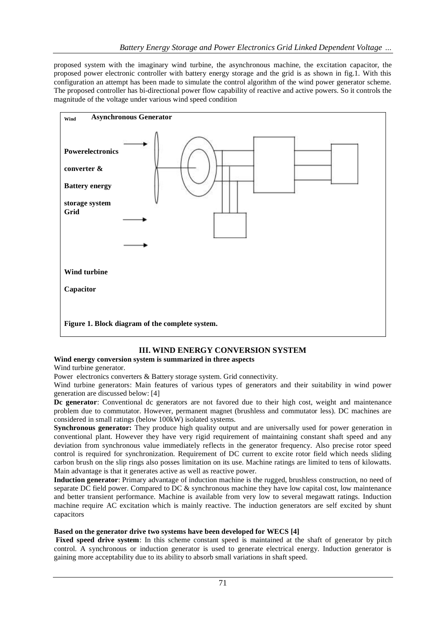proposed system with the imaginary wind turbine, the asynchronous machine, the excitation capacitor, the proposed power electronic controller with battery energy storage and the grid is as shown in fig.1. With this configuration an attempt has been made to simulate the control algorithm of the wind power generator scheme. The proposed controller has bi-directional power flow capability of reactive and active powers. So it controls the magnitude of the voltage under various wind speed condition



# **III. WIND ENERGY CONVERSION SYSTEM**

**Wind energy conversion system is summarized in three aspects**

Wind turbine generator.

Power electronics converters & Battery storage system. Grid connectivity.

Wind turbine generators: Main features of various types of generators and their suitability in wind power generation are discussed below: [4]

**Dc generator**: Conventional dc generators are not favored due to their high cost, weight and maintenance problem due to commutator. However, permanent magnet (brushless and commutator less). DC machines are considered in small ratings (below 100kW) isolated systems.

**Synchronous generator:** They produce high quality output and are universally used for power generation in conventional plant. However they have very rigid requirement of maintaining constant shaft speed and any deviation from synchronous value immediately reflects in the generator frequency. Also precise rotor speed control is required for synchronization. Requirement of DC current to excite rotor field which needs sliding carbon brush on the slip rings also posses limitation on its use. Machine ratings are limited to tens of kilowatts. Main advantage is that it generates active as well as reactive power.

**Induction generator**: Primary advantage of induction machine is the rugged, brushless construction, no need of separate DC field power. Compared to DC & synchronous machine they have low capital cost, low maintenance and better transient performance. Machine is available from very low to several megawatt ratings. Induction machine require AC excitation which is mainly reactive. The induction generators are self excited by shunt capacitors

## **Based on the generator drive two systems have been developed for WECS [4]**

**Fixed speed drive system**: In this scheme constant speed is maintained at the shaft of generator by pitch control. A synchronous or induction generator is used to generate electrical energy. Induction generator is gaining more acceptability due to its ability to absorb small variations in shaft speed.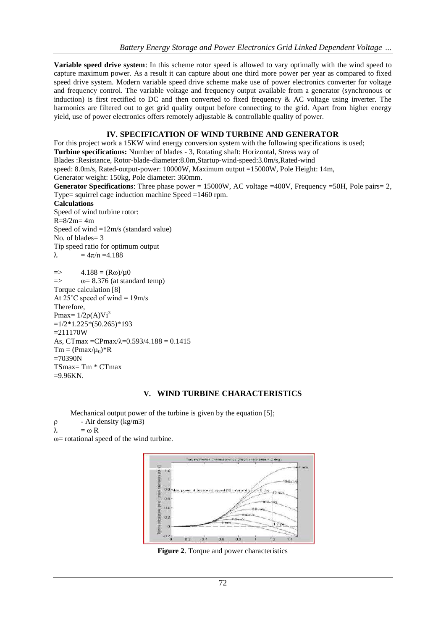**Variable speed drive system**: In this scheme rotor speed is allowed to vary optimally with the wind speed to capture maximum power. As a result it can capture about one third more power per year as compared to fixed speed drive system. Modern variable speed drive scheme make use of power electronics converter for voltage and frequency control. The variable voltage and frequency output available from a generator (synchronous or induction) is first rectified to DC and then converted to fixed frequency & AC voltage using inverter. The harmonics are filtered out to get grid quality output before connecting to the grid. Apart from higher energy yield, use of power electronics offers remotely adjustable & controllable quality of power.

## **IV. SPECIFICATION OF WIND TURBINE AND GENERATOR**

For this project work a 15KW wind energy conversion system with the following specifications is used; **Turbine specifications:** Number of blades - 3, Rotating shaft: Horizontal, Stress way of Blades :Resistance, Rotor-blade-diameter:8.0m,Startup-wind-speed:3.0m/s,Rated-wind speed: 8.0m/s, Rated-output-power: 10000W, Maximum output =15000W, Pole Height: 14m, Generator weight: 150kg, Pole diameter: 360mm. **Generator Specifications**: Three phase power = 15000W, AC voltage =400V, Frequency =50H, Pole pairs = 2, Type= squirrel cage induction machine Speed =1460 rpm. **Calculations** Speed of wind turbine rotor:  $R = 8/2m = 4m$ Speed of wind =12m/s (standard value) No. of blades= 3 Tip speed ratio for optimum output  $λ = 4π/n = 4.188$  $\Rightarrow$  4.188 = (Rω)/ $\mu$ 0  $\Rightarrow$   $\omega = 8.376$  (at standard temp) Torque calculation [8] At  $25^{\circ}$ C speed of wind = 19m/s Therefore, Pmax=  $1/2\rho(A)Vi^3$  $=1/2*1.225*(50.265)*193$  $=211170W$ As, CTmax = CPmax/ $\lambda$ = 0.593/4.188 = 0.1415

 $Tm = (Pmax/\mu_0)*R$  $=70390N$ TSmax= Tm \* CTmax  $=9.96KN$ .

## **V. WIND TURBINE CHARACTERISTICS**

Mechanical output power of the turbine is given by the equation [5];

 $ρ$  - Air density (kg/m3)

 $λ = ω R$ 

 $\omega$ = rotational speed of the wind turbine.



**Figure 2**. Torque and power characteristics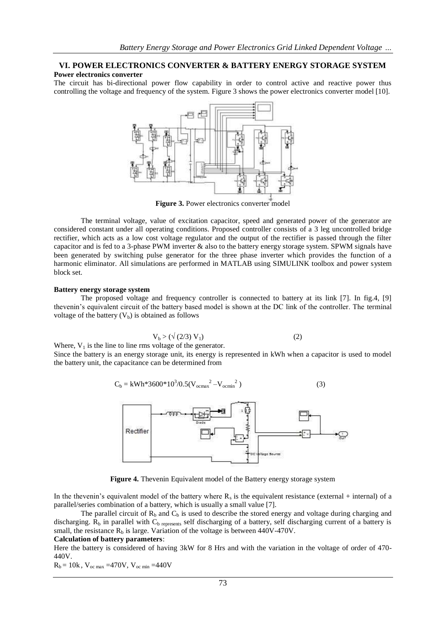## **VI. POWER ELECTRONICS CONVERTER & BATTERY ENERGY STORAGE SYSTEM Power electronics converter**

The circuit has bi-directional power flow capability in order to control active and reactive power thus controlling the voltage and frequency of the system. Figure 3 shows the power electronics converter model [10].



**Figure 3.** Power electronics converter model

The terminal voltage, value of excitation capacitor, speed and generated power of the generator are considered constant under all operating conditions. Proposed controller consists of a 3 leg uncontrolled bridge rectifier, which acts as a low cost voltage regulator and the output of the rectifier is passed through the filter capacitor and is fed to a 3-phase PWM inverter & also to the battery energy storage system. SPWM signals have been generated by switching pulse generator for the three phase inverter which provides the function of a harmonic eliminator. All simulations are performed in MATLAB using SIMULINK toolbox and power system block set.

#### **Battery energy storage system**

The proposed voltage and frequency controller is connected to battery at its link [7]. In fig.4, [9] thevenin"s equivalent circuit of the battery based model is shown at the DC link of the controller. The terminal voltage of the battery  $(V_b)$  is obtained as follows

$$
V_b > (\sqrt{(2/3)} V_1) \tag{2}
$$

Where,  $V_1$  is the line to line rms voltage of the generator.

Since the battery is an energy storage unit, its energy is represented in kWh when a capacitor is used to model the battery unit, the capacitance can be determined from

$$
C_b = \text{kWh*3600*10}^3/0.5(\text{V}_{\text{ocmax}}^2 - \text{V}_{\text{ocmin}}^2)
$$
 (3)



**Figure 4.** Thevenin Equivalent model of the Battery energy storage system

In the thevenin's equivalent model of the battery where  $R_s$  is the equivalent resistance (external + internal) of a parallel/series combination of a battery, which is usually a small value [7].

The parallel circuit of  $R_b$  and  $C_b$  is used to describe the stored energy and voltage during charging and discharging.  $R_b$  in parallel with  $C_b$  represents self discharging of a battery, self discharging current of a battery is small, the resistance  $R_b$  is large. Variation of the voltage is between 440V-470V.

#### **Calculation of battery parameters**:

Here the battery is considered of having 3kW for 8 Hrs and with the variation in the voltage of order of 470- 440V.

 $R_b = 10k$ ,  $V_{oc max} = 470V$ ,  $V_{oc min} = 440V$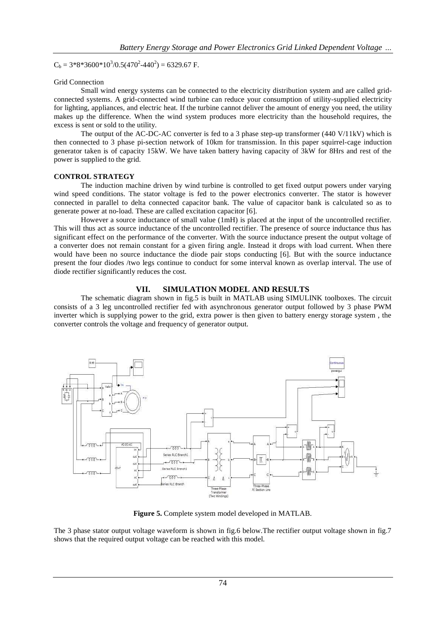$C_b = 3*8*3600*10^3/0.5(470^2-440^2) = 6329.67$  F.

#### Grid Connection

Small wind energy systems can be connected to the electricity distribution system and are called gridconnected systems. A grid-connected wind turbine can reduce your consumption of utility-supplied electricity for lighting, appliances, and electric heat. If the turbine cannot deliver the amount of energy you need, the utility makes up the difference. When the wind system produces more electricity than the household requires, the excess is sent or sold to the utility.

The output of the AC-DC-AC converter is fed to a 3 phase step-up transformer (440 V/11kV) which is then connected to 3 phase pi-section network of 10km for transmission. In this paper squirrel-cage induction generator taken is of capacity 15kW. We have taken battery having capacity of 3kW for 8Hrs and rest of the power is supplied to the grid.

### **CONTROL STRATEGY**

The induction machine driven by wind turbine is controlled to get fixed output powers under varying wind speed conditions. The stator voltage is fed to the power electronics converter. The stator is however connected in parallel to delta connected capacitor bank. The value of capacitor bank is calculated so as to generate power at no-load. These are called excitation capacitor [6].

However a source inductance of small value (1mH) is placed at the input of the uncontrolled rectifier. This will thus act as source inductance of the uncontrolled rectifier. The presence of source inductance thus has significant effect on the performance of the converter. With the source inductance present the output voltage of a converter does not remain constant for a given firing angle. Instead it drops with load current. When there would have been no source inductance the diode pair stops conducting [6]. But with the source inductance present the four diodes /two legs continue to conduct for some interval known as overlap interval. The use of diode rectifier significantly reduces the cost.

#### **VII. SIMULATION MODEL AND RESULTS**

The schematic diagram shown in fig.5 is built in MATLAB using SIMULINK toolboxes. The circuit consists of a 3 leg uncontrolled rectifier fed with asynchronous generator output followed by 3 phase PWM inverter which is supplying power to the grid, extra power is then given to battery energy storage system , the converter controls the voltage and frequency of generator output.



**Figure 5.** Complete system model developed in MATLAB.

The 3 phase stator output voltage waveform is shown in fig.6 below.The rectifier output voltage shown in fig.7 shows that the required output voltage can be reached with this model.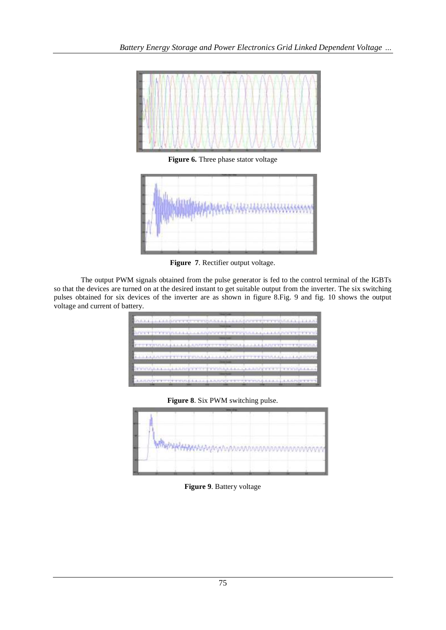

**Figure 6.** Three phase stator voltage



**Figure 7**. Rectifier output voltage.

The output PWM signals obtained from the pulse generator is fed to the control terminal of the IGBTs so that the devices are turned on at the desired instant to get suitable output from the inverter. The six switching pulses obtained for six devices of the inverter are as shown in figure 8.Fig. 9 and fig. 10 shows the output voltage and current of battery.

|  |  |  |  | SPOTT TYPEPLE LA LA LA POSTETTY TYPICALLA LA LA POSTETTY OF                      |  |  |  |  |  |
|--|--|--|--|----------------------------------------------------------------------------------|--|--|--|--|--|
|  |  |  |  |                                                                                  |  |  |  |  |  |
|  |  |  |  | TO PERSONALLA LA LA LA PARTICIPATA DE PARTICULA LA LA CARDIO DE TERMINICA DE     |  |  |  |  |  |
|  |  |  |  |                                                                                  |  |  |  |  |  |
|  |  |  |  | LEELA ART TYPITY PRAALLELA ART TYPITY THA ALLE ART ART                           |  |  |  |  |  |
|  |  |  |  |                                                                                  |  |  |  |  |  |
|  |  |  |  | ENGINAL LA CHIEFFET PRINCE : LA CAPITATION CONSULT                               |  |  |  |  |  |
|  |  |  |  |                                                                                  |  |  |  |  |  |
|  |  |  |  | AUGUST PROTECTIVE CONTRACTOR AND A REPORTED THE PROTECTIVE CONTRACTOR CONTRACTOR |  |  |  |  |  |

**Figure 8**. Six PWM switching pulse.



**Figure 9**. Battery voltage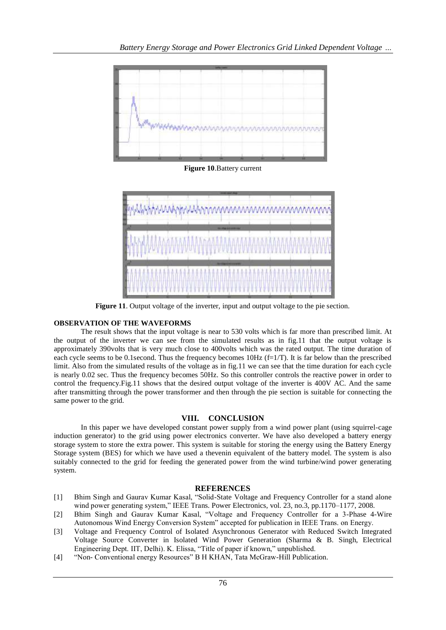

**Figure 10**.Battery current



**Figure 11**. Output voltage of the inverter, input and output voltage to the pie section.

## **OBSERVATION OF THE WAVEFORMS**

The result shows that the input voltage is near to 530 volts which is far more than prescribed limit. At the output of the inverter we can see from the simulated results as in fig.11 that the output voltage is approximately 390volts that is very much close to 400volts which was the rated output. The time duration of each cycle seems to be 0.1second. Thus the frequency becomes 10Hz (f=1/T). It is far below than the prescribed limit. Also from the simulated results of the voltage as in fig.11 we can see that the time duration for each cycle is nearly 0.02 sec. Thus the frequency becomes 50Hz. So this controller controls the reactive power in order to control the frequency.Fig.11 shows that the desired output voltage of the inverter is 400V AC. And the same after transmitting through the power transformer and then through the pie section is suitable for connecting the same power to the grid.

# **VIII. CONCLUSION**

In this paper we have developed constant power supply from a wind power plant (using squirrel-cage induction generator) to the grid using power electronics converter. We have also developed a battery energy storage system to store the extra power. This system is suitable for storing the energy using the Battery Energy Storage system (BES) for which we have used a thevenin equivalent of the battery model. The system is also suitably connected to the grid for feeding the generated power from the wind turbine/wind power generating system.

## **REFERENCES**

- [1] Bhim Singh and Gaurav Kumar Kasal, "Solid-State Voltage and Frequency Controller for a stand alone wind power generating system," IEEE Trans. Power Electronics, vol. 23, no.3, pp.1170–1177, 2008.
- [2] Bhim Singh and Gaurav Kumar Kasal, "Voltage and Frequency Controller for a 3-Phase 4-Wire Autonomous Wind Energy Conversion System" accepted for publication in IEEE Trans. on Energy.
- [3] Voltage and Frequency Control of Isolated Asynchronous Generator with Reduced Switch Integrated Voltage Source Converter in Isolated Wind Power Generation (Sharma & B. Singh, Electrical Engineering Dept. IIT, Delhi). K. Elissa, "Title of paper if known," unpublished.
- [4] "Non- Conventional energy Resources" B H KHAN, Tata McGraw-Hill Publication.